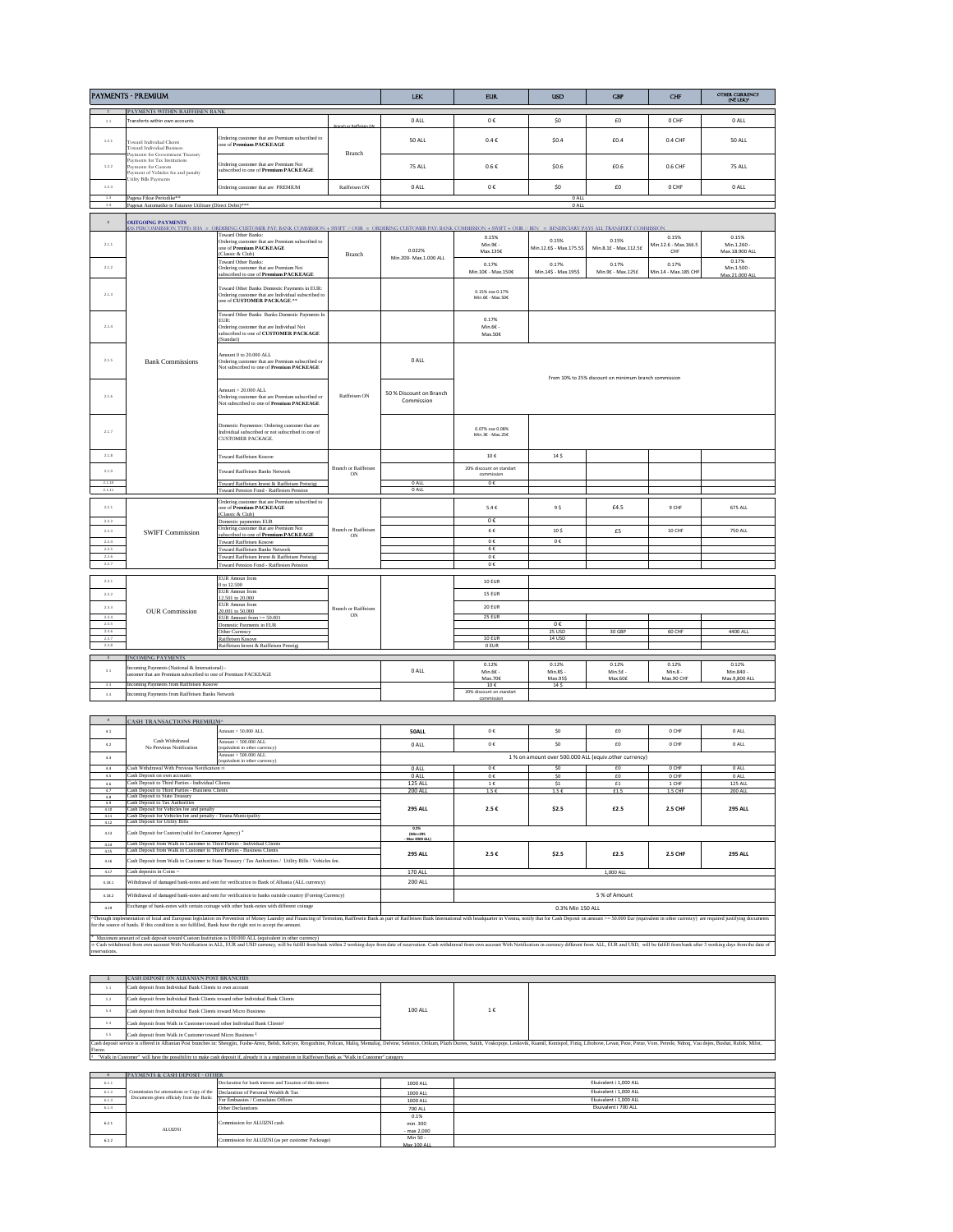| <b>PAYMENTS - PREMIUM</b> |                                                                                                                                                          |                                                                                                                                                           |                             | <b>LEK</b>                            | <b>EUR</b>                             | <b>USD</b>                                            | <b>CBP</b>                                 | CHF                           | OTHER CURRENCY<br>(NË LEK)*            |  |
|---------------------------|----------------------------------------------------------------------------------------------------------------------------------------------------------|-----------------------------------------------------------------------------------------------------------------------------------------------------------|-----------------------------|---------------------------------------|----------------------------------------|-------------------------------------------------------|--------------------------------------------|-------------------------------|----------------------------------------|--|
| $\sim$                    | PAYMENTS WITHIN RAIFFEISEN BANK                                                                                                                          |                                                                                                                                                           |                             |                                       |                                        |                                                       |                                            |                               |                                        |  |
| 1.1                       | Transferts within own accounts                                                                                                                           |                                                                                                                                                           | nch or Raiffeisen ON        | 0 ALL                                 | 0€                                     | \$0                                                   | £0                                         | 0 CHF                         | 0 ALL                                  |  |
| 1.2.1                     | Toward Individual Clients<br>Toward Individual Business                                                                                                  | Ordering customer that are Premium subscribed to<br>one of Premium PACKEAGE                                                                               | Branch                      | 50 ALL                                | $0.4 \in$                              | \$0.4                                                 | £0.4                                       | 0.4 CHF                       | 50 ALL                                 |  |
| 1.2.2                     | Payments for Government Treasury<br>Payments for Tax Institutions<br>Payments for Custom<br>Payment of Vehicles fee and penalty<br>fulity Bills Payments | Ordering customer that are Premium Not<br>subscribed to one of Premium PACKEAGE                                                                           |                             | 75 ALL                                | $0.6 \in$                              | \$0.6                                                 | £0.6                                       | 0.6 CHF                       | 75 ALL                                 |  |
| 1.2.3                     |                                                                                                                                                          | Ordering customer that are PREMIUM                                                                                                                        | Raiffeisen ON               | 0 ALL                                 | $0\:\mathbb{C}$                        | \$0                                                   | £0                                         | 0 CHF                         | 0 ALL                                  |  |
| 1.3<br>1.4                | Pagesa Fikse Periodike**<br>Pagesat Automatike te Faturave Utilitare (Direct Debit)***                                                                   |                                                                                                                                                           |                             |                                       |                                        | 0 ALL<br>0 ALL                                        |                                            |                               |                                        |  |
|                           |                                                                                                                                                          |                                                                                                                                                           |                             |                                       |                                        |                                                       |                                            |                               |                                        |  |
| $\overline{2}$            | <b>OUTGOING PAYMENTS</b><br><b>AS PERCOMMISSION TYPE</b>                                                                                                 |                                                                                                                                                           |                             |                                       |                                        |                                                       |                                            |                               |                                        |  |
|                           |                                                                                                                                                          | ORDERING CUSTOMER PAY: BANK COMMISSION + SWIFT // OUR = ORDERING CUSTOMER PAY: BANK COMMISSION + SWIFT + OUR // BEN<br><b>Toward Other Banks:</b>         |                             |                                       | 0.15%                                  |                                                       | = BENEFICIARY PAYS ALL TRANSFERT COMMISSIC | 0.15%                         | 0.15%                                  |  |
| 2.1.1                     |                                                                                                                                                          | Ordering customer that are Premium subscribed to<br>one of Premium PACKEAGE<br>(Classic & Club)                                                           | <b>Branch</b>               | 0.022%<br>Min.200- Max.1.000 ALL      | Min.9E -<br>Max.135€                   | 0.15%<br>Min.12.6\$ - Max.175.5\$                     | 0.15%<br>Min.8.1E - Max.112.5E             | Min.12.6 - Max.166.5<br>CHF   | Min.1.260 -<br>Max.18.900 ALL          |  |
| 2.1.2                     |                                                                                                                                                          | <b>Toward Other Banks:</b><br>Ordering customer that are Premium Not<br>subscribed to one of Premium PACKEAGE                                             |                             |                                       | 0.17%<br>Min.10€ - Max.150€            | 0.17%<br>Min.14\$ - Max.195\$                         | 0.17%<br>Min.9£ - Max.125£                 | 0.17%<br>Min.14 - Max.185 CHF | 0.17%<br>Min.1.500 -<br>Max.21.000 ALL |  |
| 2.1.3                     |                                                                                                                                                          | Toward Other Banks Domestic Payments in EUR:<br>Ordering customer that are Individual subscribed to<br>one of CUSTOMER PACKAGE.**                         |                             |                                       | 0.15% ose 0.17%<br>Min 66 - Max 506    |                                                       |                                            |                               |                                        |  |
| 2.1.4                     |                                                                                                                                                          | Toward Other Banks Banks Domestic Payments In<br>EUR:<br>Ordering customer that are Individual Not<br>subscribed to one of CUSTOMER PACKAGE<br>(Standart) |                             |                                       | 0.17%<br>Min.6E -<br>Max.50E           |                                                       |                                            |                               |                                        |  |
| 2.1.5                     | <b>Bank Commissions</b>                                                                                                                                  | Amount 0 to 20,000 ALL<br>Ordering customer that are Premium subscribed or<br>Not subscribed to one of Premium PACKEAGE                                   |                             | 0 ALL                                 |                                        | From 10% to 25% discount on minimum branch commission |                                            |                               |                                        |  |
| 216                       |                                                                                                                                                          | Amount > 20.000 ALL<br>Ordering customer that are Premium subscribed or<br>Not subscribed to one of Premium PACKEAGE                                      | Raiffeisen ON               | 50 % Discount on Branch<br>Commission |                                        |                                                       |                                            |                               |                                        |  |
| 2.1.7                     |                                                                                                                                                          | Domestic Paymentes: Ordering customer that are<br>Individual subscribed or not subscribed to one of<br><b>CUSTOMER PACKAGE.</b>                           |                             |                                       | 0.07% ose 0.08%<br>Min 3f - May 25f    |                                                       |                                            |                               |                                        |  |
| 2.1.8                     |                                                                                                                                                          | Toward Raiffeisen Kosove                                                                                                                                  |                             |                                       | 10f                                    | 14S                                                   |                                            |                               |                                        |  |
| 2.1.9                     |                                                                                                                                                          | <b>Toward Raiffeisen Banks Network</b>                                                                                                                    | Branch or Raiffeisen<br>ON  |                                       | 20% discount on standart<br>commission |                                                       |                                            |                               |                                        |  |
| 2.1.10                    |                                                                                                                                                          | Toward Raiffeisen Invest & Raiffeisen Preistigj                                                                                                           |                             | 0 ALL                                 | $0 \in$                                |                                                       |                                            |                               |                                        |  |
| 2.1.11                    |                                                                                                                                                          | Toward Pension Fond - Raiffesien Pensic                                                                                                                   |                             | 0 ALL                                 |                                        |                                                       |                                            |                               |                                        |  |
| 2.2.1                     |                                                                                                                                                          | Ordering customer that are Premium subscribed to<br>one of Premium PACKEAGE<br>(Classic & Club)                                                           |                             |                                       | $5.4 \in$                              | 9\$                                                   | £4.5                                       | 9 CHF                         | 675 ALL                                |  |
| 2.2.2                     |                                                                                                                                                          | Domestic paymentes EUR<br>Ordering customer that are Premium Not                                                                                          | <b>Branch or Raiffeisen</b> |                                       | 0€                                     |                                                       |                                            |                               |                                        |  |
| 2.2.3                     | <b>SWIFT Commission</b>                                                                                                                                  | subscribed to one of Premium PACKEAGE                                                                                                                     | ON                          |                                       | 6€                                     | 10 <sub>5</sub>                                       | £5                                         | 10 CHF                        | <b>750 ALL</b>                         |  |
| 2.2.4<br>2.2.5            |                                                                                                                                                          | <b>Toward Raiffeisen Kosove</b><br>Toward Raiffeisen Banks Network                                                                                        |                             |                                       | $0 \in$<br>$6 \in$                     | 0€                                                    |                                            |                               |                                        |  |
| 2.26                      |                                                                                                                                                          | Toward Raiffeisen Invest & Raiffeisen Preistigj                                                                                                           |                             |                                       | $0 \in$                                |                                                       |                                            |                               |                                        |  |
| 227                       |                                                                                                                                                          | ward Pension Fond - Raiffesien Per                                                                                                                        |                             |                                       | 0E                                     |                                                       |                                            |                               |                                        |  |
| 281                       |                                                                                                                                                          | EUR Amoun from                                                                                                                                            |                             |                                       |                                        |                                                       |                                            |                               |                                        |  |
|                           |                                                                                                                                                          | 0 to 12.500<br>EUR Amoun from                                                                                                                             |                             |                                       | 10 EUR                                 |                                                       |                                            |                               |                                        |  |
| 2.3.2                     |                                                                                                                                                          | 12.501 to 20.000                                                                                                                                          |                             |                                       | 15 EUR                                 |                                                       |                                            |                               |                                        |  |
| 2.3.3                     | <b>OUR Commission</b>                                                                                                                                    | EUR Amoun from<br>20.001 to 50.000                                                                                                                        | Branch or Raiffeisen        |                                       | 20 EUR                                 |                                                       |                                            |                               |                                        |  |
| 2.3.4                     |                                                                                                                                                          | EUR Amount from $> = 50.001$                                                                                                                              | ON                          |                                       | 25 EUR                                 |                                                       |                                            |                               |                                        |  |
| 2.3.5<br>2.3.6            |                                                                                                                                                          | Domestic Payments in EUR<br>Other Currency                                                                                                                |                             |                                       |                                        | $0\;\mathbb{E}$<br>25 USD                             | 30 GBP                                     | 60 CHF                        | 4400 ALL                               |  |
| 237                       |                                                                                                                                                          | Raiffeisen Kosove                                                                                                                                         |                             |                                       | 10 EUR                                 | 14 USD                                                |                                            |                               |                                        |  |
| 2.3.8                     |                                                                                                                                                          | Raiffeisen Invest & Raiffeisen Prestigi                                                                                                                   |                             |                                       | 0 EUR                                  |                                                       |                                            |                               |                                        |  |
| $\overline{\mathbf{3}}$   | <b>INCOMING PAYMENTS</b>                                                                                                                                 |                                                                                                                                                           |                             |                                       |                                        |                                                       |                                            |                               |                                        |  |
| 3.1                       | coming Payments (National & International) -<br>stomer that are Premium subscribed to one of Premium PACKEAGE                                            |                                                                                                                                                           |                             | $0$ All                               | 0.12%<br>Min.6E -                      | 0.12%<br>Min.8\$ -                                    | 0.12%<br>Min.5£ -                          | 0.12%<br>$Min.8 -$            | 0.12%<br>Min.840 -                     |  |
|                           | ncoming Payments from Raiffeisen Kosove                                                                                                                  |                                                                                                                                                           |                             |                                       | Max.70E                                | Max.95\$                                              | Max.60E                                    | Max.90 CHF                    | Max.9,800 ALL                          |  |
| 3.3<br>3.4                | Incoming Payments from Raiffeisen Banks Network                                                                                                          |                                                                                                                                                           |                             |                                       | $10 \in$<br>20% discount on standart   | 14 \$                                                 |                                            |                               |                                        |  |
|                           |                                                                                                                                                          |                                                                                                                                                           |                             |                                       | commission                             |                                                       |                                            |                               |                                        |  |

| $\mathbf{A}$                                                                                                                                                                                                                                                                                                                                 | <b>CASH TRANSACTIONS PREMIUM^</b>                                                                                                                                                                                              |                                                                                                        |                                                       |               |                |          |                |                |  |
|----------------------------------------------------------------------------------------------------------------------------------------------------------------------------------------------------------------------------------------------------------------------------------------------------------------------------------------------|--------------------------------------------------------------------------------------------------------------------------------------------------------------------------------------------------------------------------------|--------------------------------------------------------------------------------------------------------|-------------------------------------------------------|---------------|----------------|----------|----------------|----------------|--|
| 4.1                                                                                                                                                                                                                                                                                                                                          |                                                                                                                                                                                                                                | Amount < 50,000 ALL                                                                                    | <b>50ALL</b>                                          | 0.6           | S <sub>0</sub> | $f \cap$ | 0 CHF          | 0 ALL          |  |
| 4.2                                                                                                                                                                                                                                                                                                                                          | Cash Withdrawal<br>No Previous Notification                                                                                                                                                                                    | Amount < 500,000 ALL<br>(equivalent in other currency)                                                 | 0 ALL                                                 | 0 <           | SO             | £0       | 0 CHF          | 0 ALL          |  |
| 4.3                                                                                                                                                                                                                                                                                                                                          |                                                                                                                                                                                                                                | Amount > 500,000 ALL<br>(equivalent in other currency)                                                 | 1 % on amount over 500,000 ALL (equiv.other currency) |               |                |          |                |                |  |
| 4.4                                                                                                                                                                                                                                                                                                                                          | Cash Withdrawal With Previous Notification at                                                                                                                                                                                  |                                                                                                        | 0 ALL                                                 | 0 <           | S <sub>0</sub> | £0       | 0 CHF          | 0 ALL          |  |
| 4.5                                                                                                                                                                                                                                                                                                                                          | Cash Deposit on own accounts                                                                                                                                                                                                   |                                                                                                        | $0$ All                                               | 0.6           | SO             | $f \cap$ | 0 CHF          | 0 ALL          |  |
| 46                                                                                                                                                                                                                                                                                                                                           | Cash Deposit to Third Parties - Individual Clients                                                                                                                                                                             |                                                                                                        | <b>125 ALL</b>                                        | 1€            | S <sub>1</sub> | £1       | 1 CHF          | <b>125 ALL</b> |  |
| 4.7                                                                                                                                                                                                                                                                                                                                          | Cash Deposit to Third Parties - Business Clients                                                                                                                                                                               |                                                                                                        | <b>200 ALL</b>                                        | 1.5E          | 1.5E           | £1.5     | 1.5 CHF        | <b>200 ALL</b> |  |
| 4.8                                                                                                                                                                                                                                                                                                                                          | Cash Deposit to State Treasury                                                                                                                                                                                                 |                                                                                                        |                                                       |               |                |          |                |                |  |
| 4.9                                                                                                                                                                                                                                                                                                                                          | Cash Deposit to Tax Authorities<br>Cash Deposit for Vehicles fee and penalty                                                                                                                                                   |                                                                                                        |                                                       |               | \$2.5          | £2.5     | 2.5 CHF        | <b>295 ALL</b> |  |
| 4.10<br>4.11                                                                                                                                                                                                                                                                                                                                 |                                                                                                                                                                                                                                |                                                                                                        | <b>295 ALL</b>                                        | 2.5€          |                |          |                |                |  |
| 4.12                                                                                                                                                                                                                                                                                                                                         | Cash Deposit for Vehicles fee and penalty - Tirana Municipality<br><b>Cash Deposit for Utility Bills</b>                                                                                                                       |                                                                                                        |                                                       |               |                |          |                |                |  |
| 4.13                                                                                                                                                                                                                                                                                                                                         | Cash Deposit for Custom (valid for Customer Agency) <sup>®</sup>                                                                                                                                                               |                                                                                                        | 0.2%<br>(Min-295)<br>Max 3000 ALL)                    |               |                |          |                |                |  |
| 4.14                                                                                                                                                                                                                                                                                                                                         | Cash Deposit from Walk in Customer to Third Parties - Individual Clients                                                                                                                                                       |                                                                                                        | <b>295 ALL</b>                                        | 2.5€          | \$2.5          | £2.5     | <b>2.5 CHF</b> | <b>295 ALL</b> |  |
| 4.15                                                                                                                                                                                                                                                                                                                                         | Cash Deposit from Walk in Customer to Third Parties - Business Clients                                                                                                                                                         |                                                                                                        |                                                       |               |                |          |                |                |  |
| 4.16                                                                                                                                                                                                                                                                                                                                         | Cash Deposit from Walk in Customer to State Treasury / Tax Authorities / Utility Bills / Vehicles fee.                                                                                                                         |                                                                                                        |                                                       |               |                |          |                |                |  |
| 4.17                                                                                                                                                                                                                                                                                                                                         | Cash deposits in Coins ~                                                                                                                                                                                                       |                                                                                                        | <b>170 ALL</b>                                        | 1.000 ALL     |                |          |                |                |  |
| 4.18.1                                                                                                                                                                                                                                                                                                                                       | Withdrawal of damaged bank-notes and sent for verification to Bank of Albania (ALL currency)<br><b>200 ALL</b>                                                                                                                 |                                                                                                        |                                                       |               |                |          |                |                |  |
| 4.18.2                                                                                                                                                                                                                                                                                                                                       |                                                                                                                                                                                                                                | Withdrawal of damaged bank-notes and sent for verification to banks outside country (Foreing Currency) |                                                       | 5 % of Amount |                |          |                |                |  |
| 4.19                                                                                                                                                                                                                                                                                                                                         | Exchange of bank-notes with certain coinage with other bank-notes with different coinage<br>0.3% Min 150 ALL                                                                                                                   |                                                                                                        |                                                       |               |                |          |                |                |  |
| Through implementation of local and European legislation on Prevention of Money Laundry and Financing of Terrorism, Raiffescin Bank as part of Raiffesisen Bank International with headquarter in Vienna, notify that for Cash<br>for the source of funds. If this condition is not fulfilled. Bank have the right not to accept the amount. |                                                                                                                                                                                                                                |                                                                                                        |                                                       |               |                |          |                |                |  |
| Maximum amount of cash deposit toward Custom Institution is 100,000 ALL (equivalent in other currency)                                                                                                                                                                                                                                       |                                                                                                                                                                                                                                |                                                                                                        |                                                       |               |                |          |                |                |  |
| reservations.                                                                                                                                                                                                                                                                                                                                | or Cash withdrawal from own account With Notification in ALL. EUR and USD currency, will be fulfill from bank within 2 working days from date of reservation. Cash withdrawal from own account With Notification in currency d |                                                                                                        |                                                       |               |                |          |                |                |  |

|                                                                                                                                                                   | <b>CASH DEPOSIT ON ALBANIAN POST BRANCHES</b>                                                                                                                                                                                  |                |    |  |  |  |  |  |  |
|-------------------------------------------------------------------------------------------------------------------------------------------------------------------|--------------------------------------------------------------------------------------------------------------------------------------------------------------------------------------------------------------------------------|----------------|----|--|--|--|--|--|--|
| 5.1                                                                                                                                                               | Cash deposit from Individual Bank Clients to own account                                                                                                                                                                       |                |    |  |  |  |  |  |  |
| 5.2                                                                                                                                                               | Cash deposit from Individual Bank Clients toward other Individual Bank Clients                                                                                                                                                 |                |    |  |  |  |  |  |  |
| 5.3                                                                                                                                                               | Cash deposit from Individual Bank Clients toward Micro Business                                                                                                                                                                | <b>100 ALL</b> | 1€ |  |  |  |  |  |  |
| 5.4                                                                                                                                                               | Cash deposit from Walk in Customer toward other Individual Bank Clients <sup>1</sup>                                                                                                                                           |                |    |  |  |  |  |  |  |
| 5.5                                                                                                                                                               | Cash deposit from Walk in Customer toward Micro Business <sup>{</sup>                                                                                                                                                          |                |    |  |  |  |  |  |  |
|                                                                                                                                                                   | Cash deposit service is offered in Albanian Post branches in: Shengjin, Fushe-Arrez, Belsh, Kelcyre, Rrogozhine, Polican, Maliq, Memaliaj, Delvine, Selenice, Orikum, Plazh Durres, Sukth, Voskopoje, Leskovik, Ksamil, Konisp |                |    |  |  |  |  |  |  |
| Fierze.                                                                                                                                                           |                                                                                                                                                                                                                                |                |    |  |  |  |  |  |  |
| <sup>1</sup> "Walk in Customer" will have the possibility to make cash deposit if, already it is a registration in Raiffeisen Bank as "Walk in Customer" category |                                                                                                                                                                                                                                |                |    |  |  |  |  |  |  |
|                                                                                                                                                                   |                                                                                                                                                                                                                                |                |    |  |  |  |  |  |  |

|       | PAYMENTS & CASH DEPOSIT - OTHER                                                 |                                                            |               |                        |
|-------|---------------------------------------------------------------------------------|------------------------------------------------------------|---------------|------------------------|
| 6.1.1 |                                                                                 | Declaration for bank interest and Taxation of this interes | 1000 ALL      | Ekuivalent i 1.000 ALL |
| 6.1.2 | Commission for attestations or Copy of the Declaration of Personal Wealth & Tax |                                                            | 1000 ALL      | Ekuivalent i 1.000 ALL |
| 6.1.3 | Documents given officialy from the Bank:                                        | For Embassies / Consulates Offices                         | 1000 ALL      | Ekuivalent i 1.000 ALL |
| 6.1.4 |                                                                                 | Other Declarations                                         | 700 ALL       | Ekuivalent i 700 ALL   |
|       | <b>ALUZNI</b>                                                                   | Commission for ALUIZNI cash                                | 0.1%          |                        |
| 6.2.1 |                                                                                 |                                                            | min. 300      |                        |
|       |                                                                                 |                                                            | $-$ max 2.000 |                        |
| 6.2.2 |                                                                                 | Commission for ALUIZNI (as per customer Packeage)          | Min 50 -      |                        |
|       |                                                                                 |                                                            | Max 100 ALL   |                        |